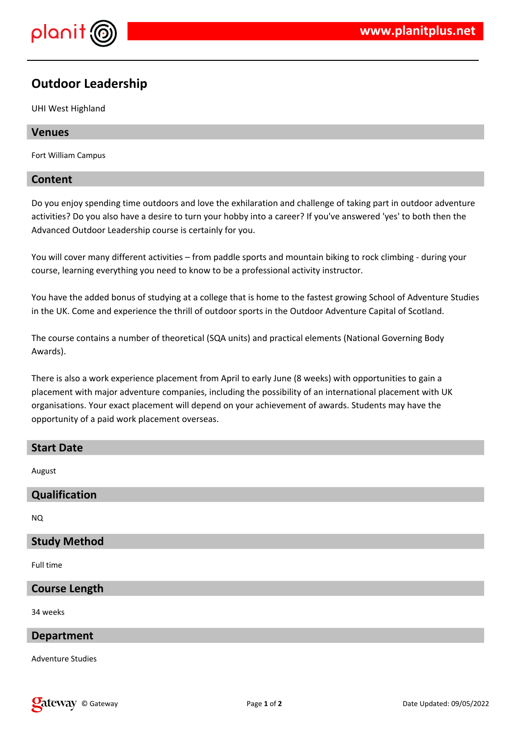

# **Outdoor Leadership**

UHI West Highland

# **Venues**

Fort William Campus

# **Content**

Do you enjoy spending time outdoors and love the exhilaration and challenge of taking part in outdoor adventure activities? Do you also have a desire to turn your hobby into a career? If you've answered 'yes' to both then the Advanced Outdoor Leadership course is certainly for you.

You will cover many different activities – from paddle sports and mountain biking to rock climbing - during your course, learning everything you need to know to be a professional activity instructor.

You have the added bonus of studying at a college that is home to the fastest growing School of Adventure Studies in the UK. Come and experience the thrill of outdoor sports in the Outdoor Adventure Capital of Scotland.

The course contains a number of theoretical (SQA units) and practical elements (National Governing Body Awards).

There is also a work experience placement from April to early June (8 weeks) with opportunities to gain a placement with major adventure companies, including the possibility of an international placement with UK organisations. Your exact placement will depend on your achievement of awards. Students may have the opportunity of a paid work placement overseas.

| <b>Start Date</b>    |
|----------------------|
| August               |
| Qualification        |
| NQ                   |
| <b>Study Method</b>  |
| Full time            |
| <b>Course Length</b> |
| 34 weeks             |
| <b>Department</b>    |

Adventure Studies